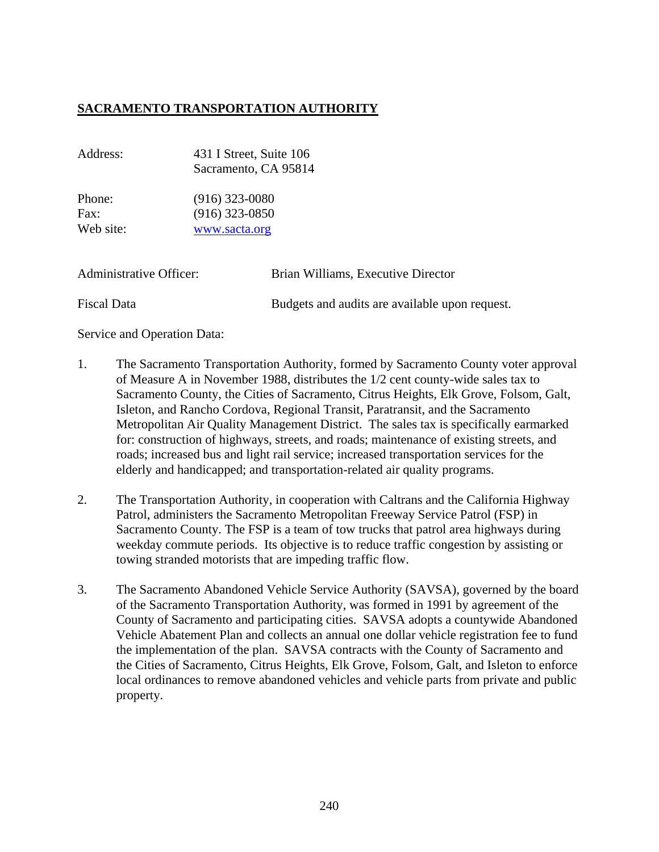## **SACRAMENTO TRANSPORTATION AUTHORITY**

| Address:                       | 431 I Street, Suite 106<br>Sacramento, CA 95814<br>$(916)$ 323-0080<br>$(916)$ 323-0850<br>www.sacta.org |                                                |
|--------------------------------|----------------------------------------------------------------------------------------------------------|------------------------------------------------|
| Phone:<br>Fax:<br>Web site:    |                                                                                                          |                                                |
| <b>Administrative Officer:</b> |                                                                                                          | Brian Williams, Executive Director             |
| Fiscal Data                    |                                                                                                          | Budgets and audits are available upon request. |

Service and Operation Data:

- 1. The Sacramento Transportation Authority, formed by Sacramento County voter approval of Measure A in November 1988, distributes the 1/2 cent county-wide sales tax to Sacramento County, the Cities of Sacramento, Citrus Heights, Elk Grove, Folsom, Galt, Isleton, and Rancho Cordova, Regional Transit, Paratransit, and the Sacramento Metropolitan Air Quality Management District. The sales tax is specifically earmarked for: construction of highways, streets, and roads; maintenance of existing streets, and roads; increased bus and light rail service; increased transportation services for the elderly and handicapped; and transportation-related air quality programs.
- 2. The Transportation Authority, in cooperation with Caltrans and the California Highway Patrol, administers the Sacramento Metropolitan Freeway Service Patrol (FSP) in Sacramento County. The FSP is a team of tow trucks that patrol area highways during weekday commute periods. Its objective is to reduce traffic congestion by assisting or towing stranded motorists that are impeding traffic flow.
- 3. The Sacramento Abandoned Vehicle Service Authority (SAVSA), governed by the board of the Sacramento Transportation Authority, was formed in 1991 by agreement of the County of Sacramento and participating cities. SAVSA adopts a countywide Abandoned Vehicle Abatement Plan and collects an annual one dollar vehicle registration fee to fund the implementation of the plan. SAVSA contracts with the County of Sacramento and the Cities of Sacramento, Citrus Heights, Elk Grove, Folsom, Galt, and Isleton to enforce local ordinances to remove abandoned vehicles and vehicle parts from private and public property.